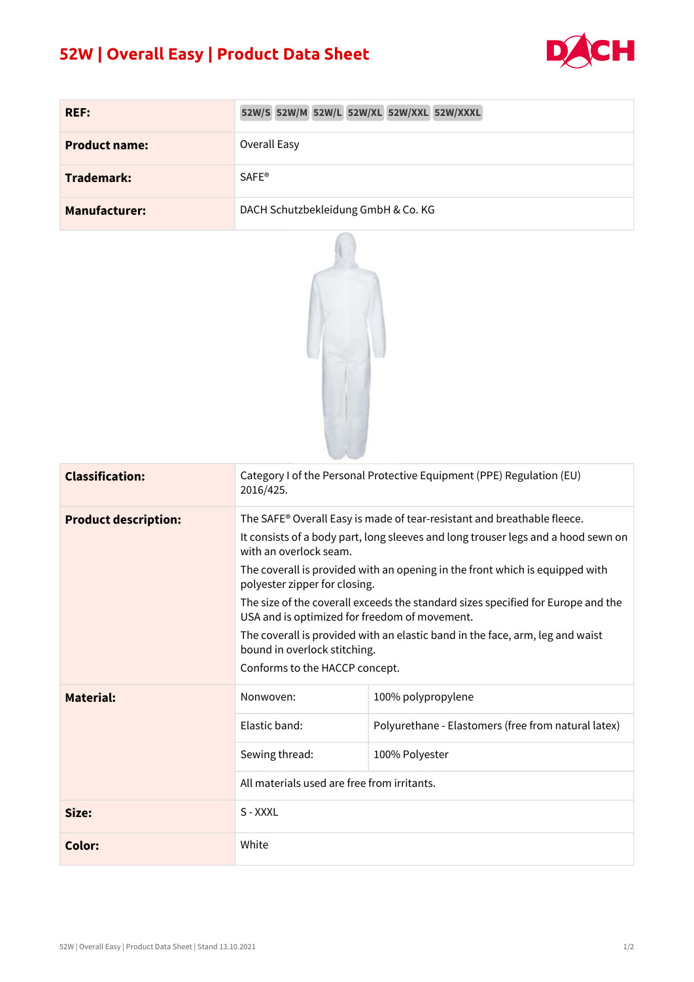## **52W | Overall Easy | Product Data Sheet**



| <b>REF:</b>          | 52W/S 52W/M 52W/L 52W/XL 52W/XXL 52W/XXXL |
|----------------------|-------------------------------------------|
| <b>Product name:</b> | Overall Easy                              |
| <b>Trademark:</b>    | <b>SAFE®</b>                              |
| <b>Manufacturer:</b> | DACH Schutzbekleidung GmbH & Co. KG       |



| <b>Classification:</b>      | Category I of the Personal Protective Equipment (PPE) Regulation (EU)<br>2016/425.                                                |                                                     |  |  |
|-----------------------------|-----------------------------------------------------------------------------------------------------------------------------------|-----------------------------------------------------|--|--|
| <b>Product description:</b> | The SAFE® Overall Easy is made of tear-resistant and breathable fleece.                                                           |                                                     |  |  |
|                             | It consists of a body part, long sleeves and long trouser legs and a hood sewn on<br>with an overlock seam.                       |                                                     |  |  |
|                             | The coverall is provided with an opening in the front which is equipped with<br>polyester zipper for closing.                     |                                                     |  |  |
|                             | The size of the coverall exceeds the standard sizes specified for Europe and the<br>USA and is optimized for freedom of movement. |                                                     |  |  |
|                             | The coverall is provided with an elastic band in the face, arm, leg and waist<br>bound in overlock stitching.                     |                                                     |  |  |
|                             | Conforms to the HACCP concept.                                                                                                    |                                                     |  |  |
| <b>Material:</b>            | Nonwoven:                                                                                                                         | 100% polypropylene                                  |  |  |
|                             | Elastic band:                                                                                                                     | Polyurethane - Elastomers (free from natural latex) |  |  |
|                             | Sewing thread:                                                                                                                    | 100% Polyester                                      |  |  |
|                             | All materials used are free from irritants.                                                                                       |                                                     |  |  |
| Size:                       | S - XXXL                                                                                                                          |                                                     |  |  |
| Color:                      | White                                                                                                                             |                                                     |  |  |